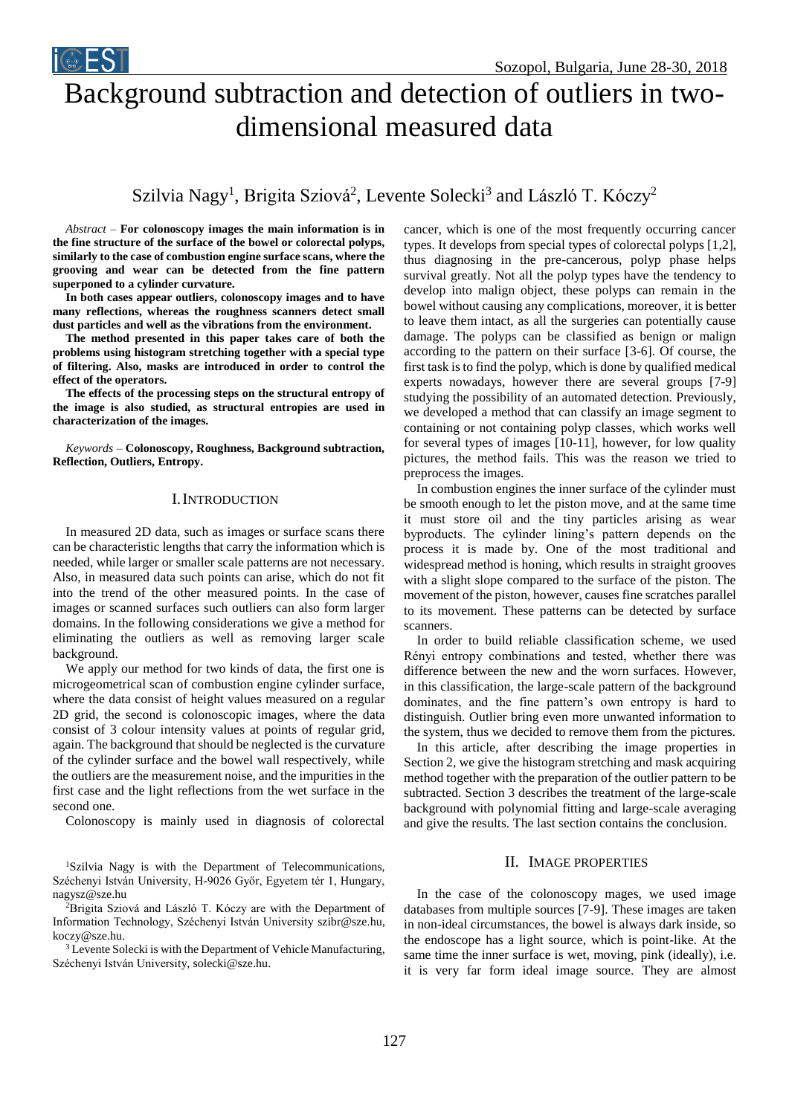

# Background subtraction and detection of outliers in twodimensional measured data

Szilvia Nagy<sup>1</sup>, Brigita Sziová<sup>2</sup>, Levente Solecki<sup>3</sup> and László T. Kóczy<sup>2</sup>

*Abstract –* **For colonoscopy images the main information is in the fine structure of the surface of the bowel or colorectal polyps, similarly to the case of combustion engine surface scans, where the grooving and wear can be detected from the fine pattern superponed to a cylinder curvature.** 

**In both cases appear outliers, colonoscopy images and to have many reflections, whereas the roughness scanners detect small dust particles and well as the vibrations from the environment.** 

**The method presented in this paper takes care of both the problems using histogram stretching together with a special type of filtering. Also, masks are introduced in order to control the effect of the operators.**

**The effects of the processing steps on the structural entropy of the image is also studied, as structural entropies are used in characterization of the images.**

*Keywords –* **Colonoscopy, Roughness, Background subtraction, Reflection, Outliers, Entropy.**

#### I.INTRODUCTION

In measured 2D data, such as images or surface scans there can be characteristic lengths that carry the information which is needed, while larger or smaller scale patterns are not necessary. Also, in measured data such points can arise, which do not fit into the trend of the other measured points. In the case of images or scanned surfaces such outliers can also form larger domains. In the following considerations we give a method for eliminating the outliers as well as removing larger scale background.

We apply our method for two kinds of data, the first one is microgeometrical scan of combustion engine cylinder surface, where the data consist of height values measured on a regular 2D grid, the second is colonoscopic images, where the data consist of 3 colour intensity values at points of regular grid, again. The background that should be neglected is the curvature of the cylinder surface and the bowel wall respectively, while the outliers are the measurement noise, and the impurities in the first case and the light reflections from the wet surface in the second one.

Colonoscopy is mainly used in diagnosis of colorectal

<sup>2</sup>Brigita Sziová and László T. Kóczy are with the Department of Information Technology, Széchenyi István University [szibr@sze.hu,](mailto:szibr@sze.hu)  koczy@sze.hu.

<sup>3</sup> Levente Solecki is with the Department of Vehicle Manufacturing, Széchenyi István University, solecki@sze.hu.

cancer, which is one of the most frequently occurring cancer types. It develops from special types of colorectal polyps [1,2], thus diagnosing in the pre-cancerous, polyp phase helps survival greatly. Not all the polyp types have the tendency to develop into malign object, these polyps can remain in the bowel without causing any complications, moreover, it is better to leave them intact, as all the surgeries can potentially cause damage. The polyps can be classified as benign or malign according to the pattern on their surface [3-6]. Of course, the first task is to find the polyp, which is done by qualified medical experts nowadays, however there are several groups [7-9] studying the possibility of an automated detection. Previously, we developed a method that can classify an image segment to containing or not containing polyp classes, which works well for several types of images [10-11], however, for low quality pictures, the method fails. This was the reason we tried to preprocess the images.

In combustion engines the inner surface of the cylinder must be smooth enough to let the piston move, and at the same time it must store oil and the tiny particles arising as wear byproducts. The cylinder lining's pattern depends on the process it is made by. One of the most traditional and widespread method is honing, which results in straight grooves with a slight slope compared to the surface of the piston. The movement of the piston, however, causes fine scratches parallel to its movement. These patterns can be detected by surface scanners.

In order to build reliable classification scheme, we used Rényi entropy combinations and tested, whether there was difference between the new and the worn surfaces. However, in this classification, the large-scale pattern of the background dominates, and the fine pattern's own entropy is hard to distinguish. Outlier bring even more unwanted information to the system, thus we decided to remove them from the pictures.

In this article, after describing the image properties in Section 2, we give the histogram stretching and mask acquiring method together with the preparation of the outlier pattern to be subtracted. Section 3 describes the treatment of the large-scale background with polynomial fitting and large-scale averaging and give the results. The last section contains the conclusion.

#### II. IMAGE PROPERTIES

In the case of the colonoscopy mages, we used image databases from multiple sources [7-9]. These images are taken in non-ideal circumstances, the bowel is always dark inside, so the endoscope has a light source, which is point-like. At the same time the inner surface is wet, moving, pink (ideally), i.e. it is very far form ideal image source. They are almost

<sup>&</sup>lt;sup>1</sup>Szilvia Nagy is with the Department of Telecommunications, Széchenyi István University, H-9026 Győr, Egyetem tér 1, Hungary, nagysz@sze.hu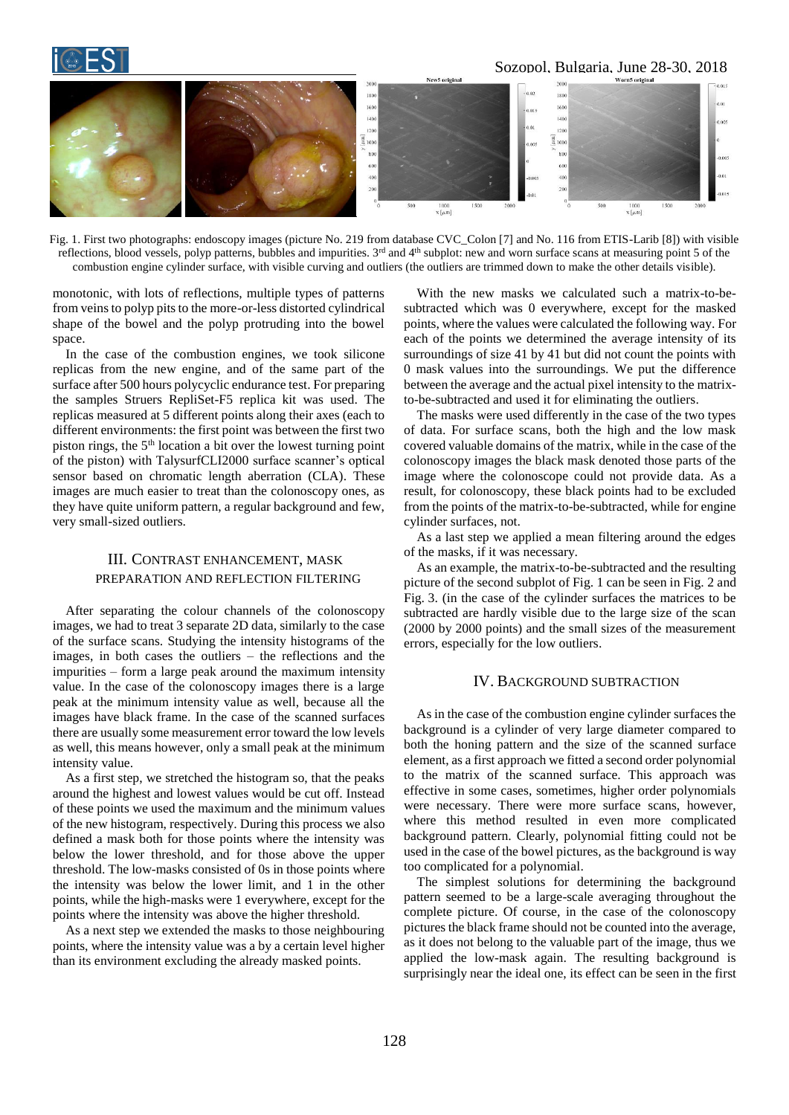## Sozopol, Bulgaria, June 28-30, 2018



Fig. 1. First two photographs: endoscopy images (picture No. 219 from database CVC\_Colon [7] and No. 116 from ETIS-Larib [8]) with visible reflections, blood vessels, polyp patterns, bubbles and impurities.  $3<sup>rd</sup>$  and  $4<sup>th</sup>$  subplot: new and worn surface scans at measuring point 5 of the combustion engine cylinder surface, with visible curving and outliers (the outliers are trimmed down to make the other details visible).

monotonic, with lots of reflections, multiple types of patterns from veins to polyp pits to the more-or-less distorted cylindrical shape of the bowel and the polyp protruding into the bowel space.

In the case of the combustion engines, we took silicone replicas from the new engine, and of the same part of the surface after 500 hours polycyclic endurance test. For preparing the samples Struers RepliSet-F5 replica kit was used. The replicas measured at 5 different points along their axes (each to different environments: the first point was between the first two piston rings, the  $5<sup>th</sup>$  location a bit over the lowest turning point of the piston) with TalysurfCLI2000 surface scanner's optical sensor based on chromatic length aberration (CLA). These images are much easier to treat than the colonoscopy ones, as they have quite uniform pattern, a regular background and few, very small-sized outliers.

#### III. CONTRAST ENHANCEMENT, MASK PREPARATION AND REFLECTION FILTERING

After separating the colour channels of the colonoscopy images, we had to treat 3 separate 2D data, similarly to the case of the surface scans. Studying the intensity histograms of the images, in both cases the outliers – the reflections and the impurities – form a large peak around the maximum intensity value. In the case of the colonoscopy images there is a large peak at the minimum intensity value as well, because all the images have black frame. In the case of the scanned surfaces there are usually some measurement error toward the low levels as well, this means however, only a small peak at the minimum intensity value.

As a first step, we stretched the histogram so, that the peaks around the highest and lowest values would be cut off. Instead of these points we used the maximum and the minimum values of the new histogram, respectively. During this process we also defined a mask both for those points where the intensity was below the lower threshold, and for those above the upper threshold. The low-masks consisted of 0s in those points where the intensity was below the lower limit, and 1 in the other points, while the high-masks were 1 everywhere, except for the points where the intensity was above the higher threshold.

As a next step we extended the masks to those neighbouring points, where the intensity value was a by a certain level higher than its environment excluding the already masked points.

With the new masks we calculated such a matrix-to-besubtracted which was 0 everywhere, except for the masked points, where the values were calculated the following way. For each of the points we determined the average intensity of its surroundings of size 41 by 41 but did not count the points with 0 mask values into the surroundings. We put the difference between the average and the actual pixel intensity to the matrixto-be-subtracted and used it for eliminating the outliers.

The masks were used differently in the case of the two types of data. For surface scans, both the high and the low mask covered valuable domains of the matrix, while in the case of the colonoscopy images the black mask denoted those parts of the image where the colonoscope could not provide data. As a result, for colonoscopy, these black points had to be excluded from the points of the matrix-to-be-subtracted, while for engine cylinder surfaces, not.

As a last step we applied a mean filtering around the edges of the masks, if it was necessary.

As an example, the matrix-to-be-subtracted and the resulting picture of the second subplot of Fig. 1 can be seen in Fig. 2 and Fig. 3. (in the case of the cylinder surfaces the matrices to be subtracted are hardly visible due to the large size of the scan (2000 by 2000 points) and the small sizes of the measurement errors, especially for the low outliers.

#### IV. BACKGROUND SUBTRACTION

As in the case of the combustion engine cylinder surfaces the background is a cylinder of very large diameter compared to both the honing pattern and the size of the scanned surface element, as a first approach we fitted a second order polynomial to the matrix of the scanned surface. This approach was effective in some cases, sometimes, higher order polynomials were necessary. There were more surface scans, however, where this method resulted in even more complicated background pattern. Clearly, polynomial fitting could not be used in the case of the bowel pictures, as the background is way too complicated for a polynomial.

The simplest solutions for determining the background pattern seemed to be a large-scale averaging throughout the complete picture. Of course, in the case of the colonoscopy pictures the black frame should not be counted into the average, as it does not belong to the valuable part of the image, thus we applied the low-mask again. The resulting background is surprisingly near the ideal one, its effect can be seen in the first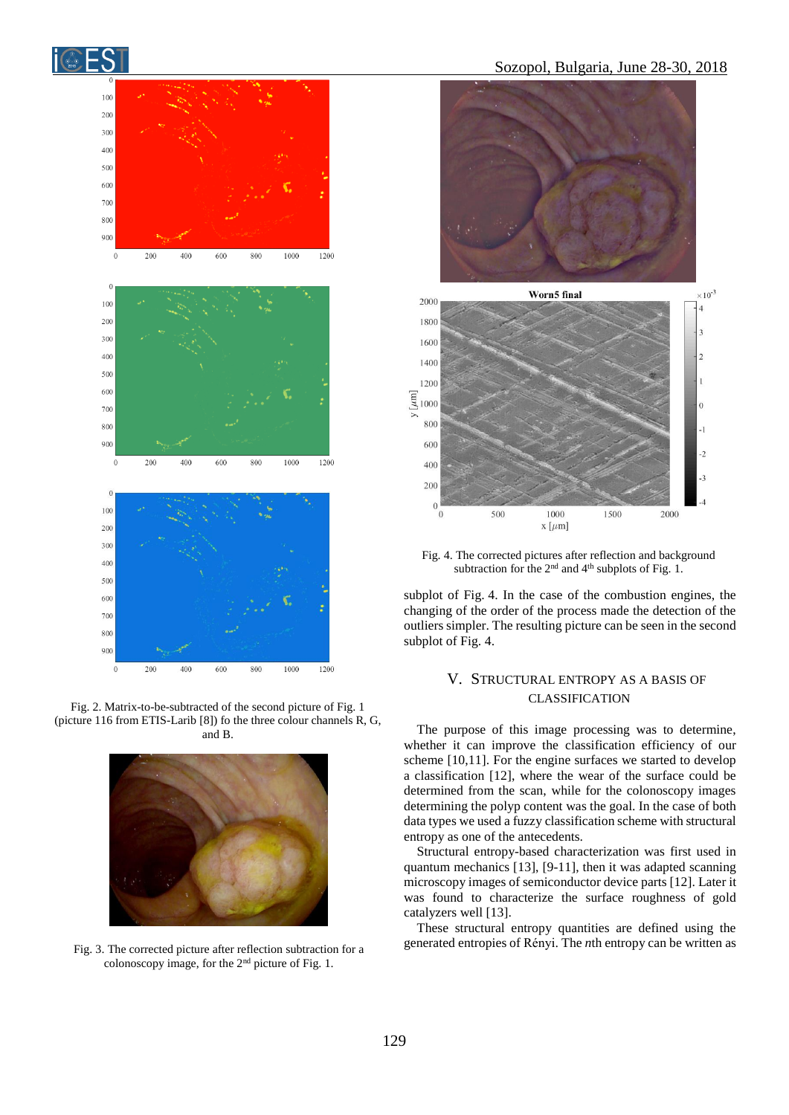

Fig. 2. Matrix-to-be-subtracted of the second picture of Fig. 1 (picture 116 from ETIS-Larib [8]) fo the three colour channels R, G, and B.



colonoscopy image, for the 2nd picture of Fig. 1.



Fig. 4. The corrected pictures after reflection and background subtraction for the  $2<sup>nd</sup>$  and  $4<sup>th</sup>$  subplots of Fig. 1.

subplot of Fig. 4. In the case of the combustion engines, the changing of the order of the process made the detection of the outliers simpler. The resulting picture can be seen in the second subplot of Fig. 4.

#### V. STRUCTURAL ENTROPY AS A BASIS OF CLASSIFICATION

The purpose of this image processing was to determine, whether it can improve the classification efficiency of our scheme [10,11]. For the engine surfaces we started to develop a classification [12], where the wear of the surface could be determined from the scan, while for the colonoscopy images determining the polyp content was the goal. In the case of both data types we used a fuzzy classification scheme with structural entropy as one of the antecedents.

Structural entropy-based characterization was first used in quantum mechanics [13], [9-11], then it was adapted scanning microscopy images of semiconductor device parts [12]. Later it was found to characterize the surface roughness of gold catalyzers well [13].

These structural entropy quantities are defined using the Fig. 3. The corrected picture after reflection subtraction for a generated entropies of Rényi. The *n*th entropy can be written as